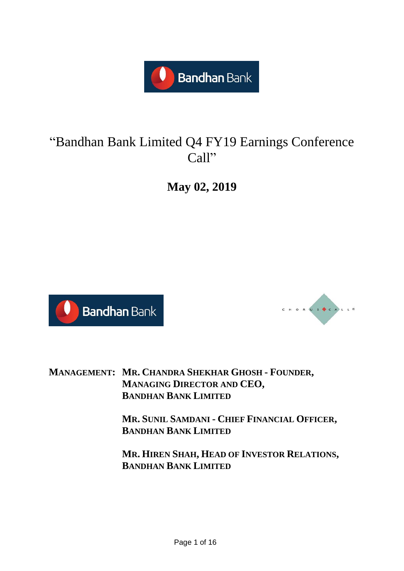

# "Bandhan Bank Limited Q4 FY19 Earnings Conference Call"

**May 02, 2019**





**MANAGEMENT: MR. CHANDRA SHEKHAR GHOSH - FOUNDER, MANAGING DIRECTOR AND CEO, BANDHAN BANK LIMITED**

> **MR. SUNIL SAMDANI - CHIEF FINANCIAL OFFICER, BANDHAN BANK LIMITED**

> **MR. HIREN SHAH, HEAD OF INVESTOR RELATIONS, BANDHAN BANK LIMITED**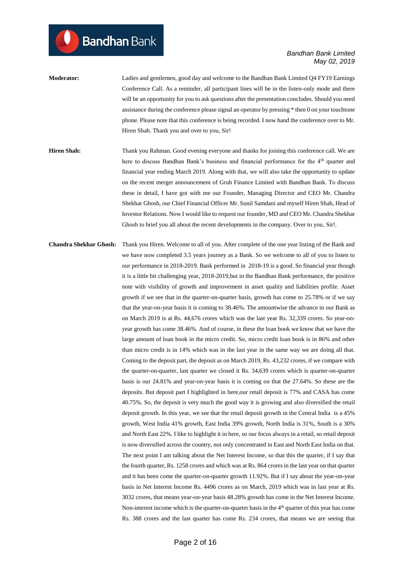## **Moderator:** Ladies and gentlemen, good day and welcome to the Bandhan Bank Limited Q4 FY19 Earnings Conference Call. As a reminder, all participant lines will be in the listen-only mode and there will be an opportunity for you to ask questions after the presentation concludes. Should you need assistance during the conference please signal an operator by pressing \* then 0 on your touchtone phone. Please note that this conference is being recorded. I now hand the conference over to Mr. Hiren Shah. Thank you and over to you, Sir!

**Bandhan** Bank

- **Hiren Shah:** Thank you Rahman. Good evening everyone and thanks for joining this conference call. We are here to discuss Bandhan Bank's business and financial performance for the 4<sup>th</sup> quarter and financial year ending March 2019. Along with that, we will also take the opportunity to update on the recent merger announcement of Gruh Finance Limited with Bandhan Bank. To discuss these in detail, I have got with me our Founder, Managing Director and CEO Mr. Chandra Shekhar Ghosh, our Chief Financial Officer Mr. Sunil Samdani and myself Hiren Shah, Head of Investor Relations. Now I would like to request our founder, MD and CEO Mr. Chandra Shekhar Ghosh to brief you all about the recent developments in the company. Over to you, Sir!.
- **Chandra Shekhar Ghosh:** Thank you Hiren. Welcome to all of you. After complete of the one year listing of the Bank and we have now completed 3.5 years journey as a Bank. So we welcome to all of you to listen to our performance in 2018-2019. Bank performed in 2018-19 is a good. So financial year though it is a little bit challenging year, 2018-2019,but in the Bandhan Bank performance, the positive note with visibility of growth and improvement in asset quality and liabilities profile. Asset growth if we see that in the quarter-on-quarter basis, growth has come to 25.78% or if we say that the year-on-year basis it is coming to 38.46%. The amountwise the advance in our Bank as on March 2019 is at Rs. 44,676 crores which was the last year Rs. 32,339 crores. So year-onyear growth has come 38.46%. And of course, in these the loan book we know that we have the large amount of loan book in the micro credit. So, micro credit loan book is in 86% and other than micro credit is in 14% which was in the last year in the same way we are doing all that. Coming to the deposit part, the deposit as on March 2019, Rs. 43,232 crores, if we compare with the quarter-on-quarter, last quarter we closed it Rs. 34,639 crores which is quarter-on-quarter basis is our 24.81% and year-on-year basis it is coming on that the 27.64%. So these are the deposits. But deposit part I highlighted in here,our retail deposit is 77% and CASA has come 40.75%. So, the deposit is very much the good way it is growing and also diversified the retail deposit growth. In this year, we see that the retail deposit growth in the Central India is a 45% growth, West India 41% growth, East India 39% growth, North India is 31%, South is a 30% and North East 22%. I like to highlight it in here, so our focus always in a retail, so retail deposit is now diversified across the country, not only concentrated in East and North East India on that. The next point I am talking about the Net Interest Income, so that this the quarter, if I say that the fourth quarter, Rs. 1258 crores and which was at Rs. 864 crores in the last year on that quarter and it has been come the quarter-on-quarter growth 11.92%. But if I say about the year-on-year basis in Net Interest Income Rs. 4496 crores as on March, 2019 which was in last year at Rs. 3032 crores, that means year-on-year basis 48.28% growth has come in the Net Interest Income. Non-interest income which is the quarter-on-quarter basis in the 4<sup>th</sup> quarter of this year has come Rs. 388 crores and the last quarter has come Rs. 234 crores, that means we are seeing that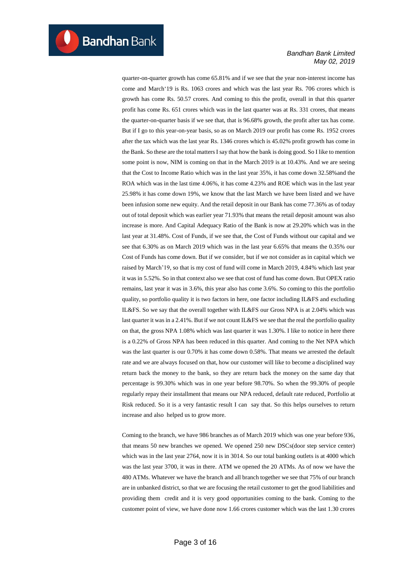quarter-on-quarter growth has come 65.81% and if we see that the year non-interest income has come and March'19 is Rs. 1063 crores and which was the last year Rs. 706 crores which is growth has come Rs. 50.57 crores. And coming to this the profit, overall in that this quarter profit has come Rs. 651 crores which was in the last quarter was at Rs. 331 crores, that means the quarter-on-quarter basis if we see that, that is 96.68% growth, the profit after tax has come. But if I go to this year-on-year basis, so as on March 2019 our profit has come Rs. 1952 crores after the tax which was the last year Rs. 1346 crores which is 45.02% profit growth has come in the Bank. So these are the total matters I say that how the bank is doing good. So I like to mention some point is now, NIM is coming on that in the March 2019 is at 10.43%. And we are seeing that the Cost to Income Ratio which was in the last year 35%, it has come down 32.58%and the ROA which was in the last time 4.06%, it has come 4.23% and ROE which was in the last year 25.98% it has come down 19%, we know that the last March we have been listed and we have been infusion some new equity. And the retail deposit in our Bank has come 77.36% as of today out of total deposit which was earlier year 71.93% that means the retail deposit amount was also increase is more. And Capital Adequacy Ratio of the Bank is now at 29.20% which was in the last year at 31.48%. Cost of Funds, if we see that, the Cost of Funds without our capital and we see that 6.30% as on March 2019 which was in the last year 6.65% that means the 0.35% our Cost of Funds has come down. But if we consider, but if we not consider as in capital which we raised by March'19, so that is my cost of fund will come in March 2019, 4.84% which last year it was in 5.52%. So in that context also we see that cost of fund has come down. But OPEX ratio remains, last year it was in 3.6%, this year also has come 3.6%. So coming to this the portfolio quality, so portfolio quality it is two factors in here, one factor including IL&FS and excluding IL&FS. So we say that the overall together with IL&FS our Gross NPA is at 2.04% which was last quarter it was in a 2.41%. But if we not count IL&FS we see that the real the portfolio quality on that, the gross NPA 1.08% which was last quarter it was 1.30%. I like to notice in here there is a 0.22% of Gross NPA has been reduced in this quarter. And coming to the Net NPA which was the last quarter is our 0.70% it has come down 0.58%. That means we arrested the default rate and we are always focused on that, how our customer will like to become a disciplined way return back the money to the bank, so they are return back the money on the same day that percentage is 99.30% which was in one year before 98.70%. So when the 99.30% of people regularly repay their installment that means our NPA reduced, default rate reduced, Portfolio at Risk reduced. So it is a very fantastic result I can say that. So this helps ourselves to return increase and also helped us to grow more.

Coming to the branch, we have 986 branches as of March 2019 which was one year before 936, that means 50 new branches we opened. We opened 250 new DSCs(door step service center) which was in the last year 2764, now it is in 3014. So our total banking outlets is at 4000 which was the last year 3700, it was in there. ATM we opened the 20 ATMs. As of now we have the 480 ATMs. Whatever we have the branch and all branch together we see that 75% of our branch are in unbanked district, so that we are focusing the retail customer to get the good liabilities and providing them credit and it is very good opportunities coming to the bank. Coming to the customer point of view, we have done now 1.66 crores customer which was the last 1.30 crores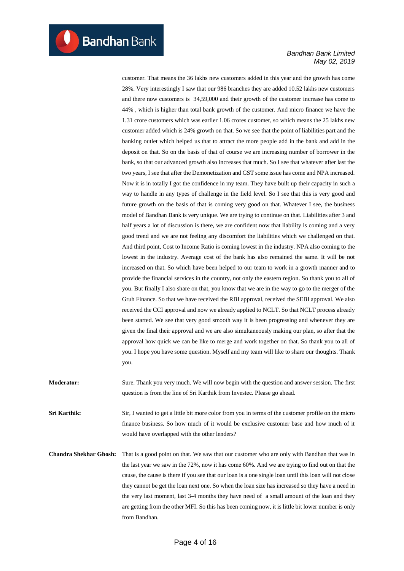customer. That means the 36 lakhs new customers added in this year and the growth has come 28%. Very interestingly I saw that our 986 branches they are added 10.52 lakhs new customers and there now customers is 34,59,000 and their growth of the customer increase has come to 44% , which is higher than total bank growth of the customer. And micro finance we have the 1.31 crore customers which was earlier 1.06 crores customer, so which means the 25 lakhs new customer added which is 24% growth on that. So we see that the point of liabilities part and the banking outlet which helped us that to attract the more people add in the bank and add in the deposit on that. So on the basis of that of course we are increasing number of borrower in the bank, so that our advanced growth also increases that much. So I see that whatever after last the two years, I see that after the Demonetization and GST some issue has come and NPA increased. Now it is in totally I got the confidence in my team. They have built up their capacity in such a way to handle in any types of challenge in the field level. So I see that this is very good and future growth on the basis of that is coming very good on that. Whatever I see, the business model of Bandhan Bank is very unique. We are trying to continue on that. Liabilities after 3 and half years a lot of discussion is there, we are confident now that liability is coming and a very good trend and we are not feeling any discomfort the liabilities which we challenged on that. And third point, Cost to Income Ratio is coming lowest in the industry. NPA also coming to the lowest in the industry. Average cost of the bank has also remained the same. It will be not increased on that. So which have been helped to our team to work in a growth manner and to provide the financial services in the country, not only the eastern region. So thank you to all of you. But finally I also share on that, you know that we are in the way to go to the merger of the Gruh Finance. So that we have received the RBI approval, received the SEBI approval. We also received the CCI approval and now we already applied to NCLT. So that NCLT process already been started. We see that very good smooth way it is been progressing and whenever they are given the final their approval and we are also simultaneously making our plan, so after that the approval how quick we can be like to merge and work together on that. So thank you to all of you. I hope you have some question. Myself and my team will like to share our thoughts. Thank you.

**Moderator:** Sure. Thank you very much. We will now begin with the question and answer session. The first question is from the line of Sri Karthik from Investec. Please go ahead.

**Sri Karthik:** Sir, I wanted to get a little bit more color from you in terms of the customer profile on the micro finance business. So how much of it would be exclusive customer base and how much of it would have overlapped with the other lenders?

**Chandra Shekhar Ghosh:** That is a good point on that. We saw that our customer who are only with Bandhan that was in the last year we saw in the 72%, now it has come 60%. And we are trying to find out on that the cause, the cause is there if you see that our loan is a one single loan until this loan will not close they cannot be get the loan next one. So when the loan size has increased so they have a need in the very last moment, last 3-4 months they have need of a small amount of the loan and they are getting from the other MFI. So this has been coming now, it is little bit lower number is only from Bandhan.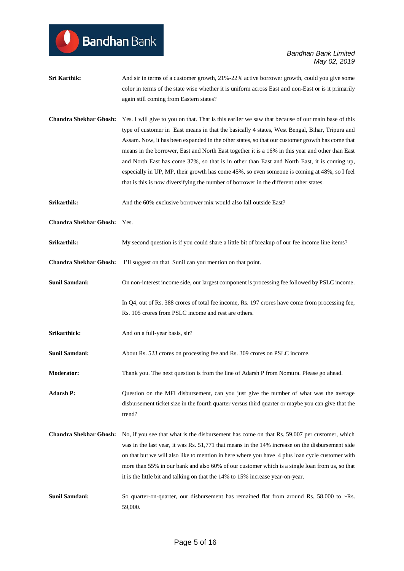| Sri Karthik:                  | And sir in terms of a customer growth, 21%-22% active borrower growth, could you give some<br>color in terms of the state wise whether it is uniform across East and non-East or is it primarily<br>again still coming from Eastern states?                                                                                                                                                                                                                                                                                                                                                                                                                                                          |
|-------------------------------|------------------------------------------------------------------------------------------------------------------------------------------------------------------------------------------------------------------------------------------------------------------------------------------------------------------------------------------------------------------------------------------------------------------------------------------------------------------------------------------------------------------------------------------------------------------------------------------------------------------------------------------------------------------------------------------------------|
|                               |                                                                                                                                                                                                                                                                                                                                                                                                                                                                                                                                                                                                                                                                                                      |
| <b>Chandra Shekhar Ghosh:</b> | Yes. I will give to you on that. That is this earlier we saw that because of our main base of this<br>type of customer in East means in that the basically 4 states, West Bengal, Bihar, Tripura and<br>Assam. Now, it has been expanded in the other states, so that our customer growth has come that<br>means in the borrower, East and North East together it is a 16% in this year and other than East<br>and North East has come 37%, so that is in other than East and North East, it is coming up,<br>especially in UP, MP, their growth has come 45%, so even someone is coming at 48%, so I feel<br>that is this is now diversifying the number of borrower in the different other states. |
| Srikarthik:                   | And the 60% exclusive borrower mix would also fall outside East?                                                                                                                                                                                                                                                                                                                                                                                                                                                                                                                                                                                                                                     |
| Chandra Shekhar Ghosh: Yes.   |                                                                                                                                                                                                                                                                                                                                                                                                                                                                                                                                                                                                                                                                                                      |
| Srikarthik:                   | My second question is if you could share a little bit of breakup of our fee income line items?                                                                                                                                                                                                                                                                                                                                                                                                                                                                                                                                                                                                       |
| <b>Chandra Shekhar Ghosh:</b> | I'll suggest on that Sunil can you mention on that point.                                                                                                                                                                                                                                                                                                                                                                                                                                                                                                                                                                                                                                            |
| Sunil Samdani:                | On non-interest income side, our largest component is processing fee followed by PSLC income.                                                                                                                                                                                                                                                                                                                                                                                                                                                                                                                                                                                                        |
|                               | In Q4, out of Rs. 388 crores of total fee income, Rs. 197 crores have come from processing fee,<br>Rs. 105 crores from PSLC income and rest are others.                                                                                                                                                                                                                                                                                                                                                                                                                                                                                                                                              |
| Srikarthick:                  | And on a full-year basis, sir?                                                                                                                                                                                                                                                                                                                                                                                                                                                                                                                                                                                                                                                                       |
| <b>Sunil Samdani:</b>         | About Rs. 523 crores on processing fee and Rs. 309 crores on PSLC income.                                                                                                                                                                                                                                                                                                                                                                                                                                                                                                                                                                                                                            |
| <b>Moderator:</b>             | Thank you. The next question is from the line of Adarsh P from Nomura. Please go ahead.                                                                                                                                                                                                                                                                                                                                                                                                                                                                                                                                                                                                              |
| <b>Adarsh P:</b>              | Question on the MFI disbursement, can you just give the number of what was the average<br>disbursement ticket size in the fourth quarter versus third quarter or maybe you can give that the<br>trend?                                                                                                                                                                                                                                                                                                                                                                                                                                                                                               |
| <b>Chandra Shekhar Ghosh:</b> | No, if you see that what is the disbursement has come on that Rs. 59,007 per customer, which<br>was in the last year, it was Rs. 51,771 that means in the 14% increase on the disbursement side<br>on that but we will also like to mention in here where you have 4 plus loan cycle customer with<br>more than 55% in our bank and also 60% of our customer which is a single loan from us, so that<br>it is the little bit and talking on that the 14% to 15% increase year-on-year.                                                                                                                                                                                                               |
| <b>Sunil Samdani:</b>         | So quarter-on-quarter, our disbursement has remained flat from around Rs. 58,000 to $\sim$ Rs.<br>59,000.                                                                                                                                                                                                                                                                                                                                                                                                                                                                                                                                                                                            |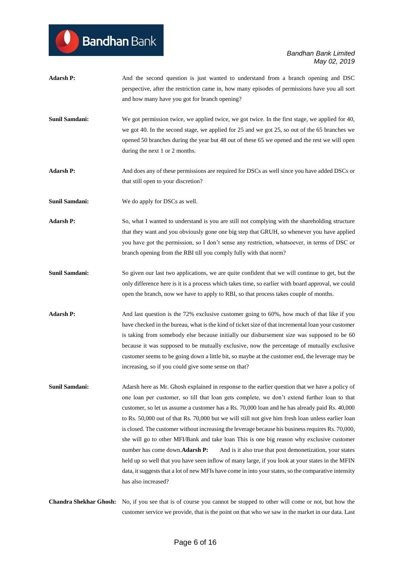| <b>Adarsh P:</b>              | And the second question is just wanted to understand from a branch opening and DSC                   |
|-------------------------------|------------------------------------------------------------------------------------------------------|
|                               | perspective, after the restriction came in, how many episodes of permissions have you all sort       |
|                               | and how many have you got for branch opening?                                                        |
| Sunil Samdani:                | We got permission twice, we applied twice, we got twice. In the first stage, we applied for 40,      |
|                               | we got 40. In the second stage, we applied for 25 and we got 25, so out of the 65 branches we        |
|                               | opened 50 branches during the year but 48 out of these 65 we opened and the rest we will open        |
|                               | during the next 1 or 2 months.                                                                       |
| <b>Adarsh P:</b>              | And does any of these permissions are required for DSCs as well since you have added DSCs or         |
|                               | that still open to your discretion?                                                                  |
| <b>Sunil Samdani:</b>         | We do apply for DSCs as well.                                                                        |
| <b>Adarsh P:</b>              | So, what I wanted to understand is you are still not complying with the shareholding structure       |
|                               | that they want and you obviously gone one big step that GRUH, so whenever you have applied           |
|                               | you have got the permission, so I don't sense any restriction, whatsoever, in terms of DSC or        |
|                               | branch opening from the RBI till you comply fully with that norm?                                    |
| Sunil Samdani:                | So given our last two applications, we are quite confident that we will continue to get, but the     |
|                               | only difference here is it is a process which takes time, so earlier with board approval, we could   |
|                               | open the branch, now we have to apply to RBI, so that process takes couple of months.                |
| <b>Adarsh P:</b>              | And last question is the 72% exclusive customer going to 60%, how much of that like if you           |
|                               | have checked in the bureau, what is the kind of ticket size of that incremental loan your customer   |
|                               | is taking from somebody else because initially our disbursement size was supposed to be 60           |
|                               | because it was supposed to be mutually exclusive, now the percentage of mutually exclusive           |
|                               | customer seems to be going down a little bit, so maybe at the customer end, the leverage may be      |
|                               | increasing, so if you could give some sense on that?                                                 |
| Sunil Samdani:                | Adarsh here as Mr. Ghosh explained in response to the earlier question that we have a policy of      |
|                               | one loan per customer, so till that loan gets complete, we don't extend further loan to that         |
|                               | customer, so let us assume a customer has a Rs. 70,000 loan and he has already paid Rs. 40,000       |
|                               | to Rs. 50,000 out of that Rs. 70,000 but we will still not give him fresh loan unless earlier loan   |
|                               | is closed. The customer without increasing the leverage because his business requires Rs. 70,000,    |
|                               | she will go to other MFI/Bank and take loan This is one big reason why exclusive customer            |
|                               | number has come down.Adarsh P:<br>And is it also true that post demonetization, your states          |
|                               | held up so well that you have seen inflow of many large, if you look at your states in the MFIN      |
|                               | data, it suggests that a lot of new MFIs have come in into your states, so the comparative intensity |
|                               | has also increased?                                                                                  |
| <b>Chandra Shekhar Ghosh:</b> | No, if you see that is of course you cannot be stopped to other will come or not, but how the        |
|                               | customer service we provide, that is the point on that who we saw in the market in our data. Last    |

Bandhan Bank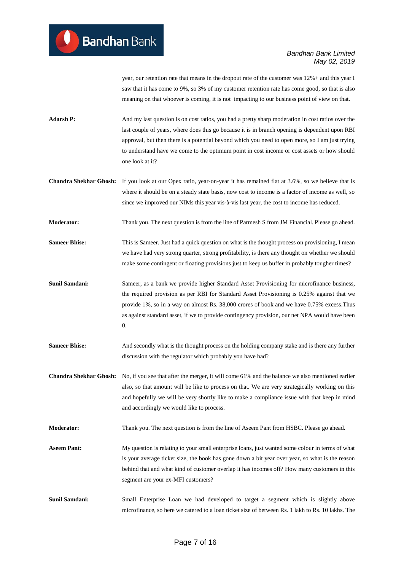year, our retention rate that means in the dropout rate of the customer was 12%+ and this year I saw that it has come to 9%, so 3% of my customer retention rate has come good, so that is also meaning on that whoever is coming, it is not impacting to our business point of view on that.

- Adarsh P: And my last question is on cost ratios, you had a pretty sharp moderation in cost ratios over the last couple of years, where does this go because it is in branch opening is dependent upon RBI approval, but then there is a potential beyond which you need to open more, so I am just trying to understand have we come to the optimum point in cost income or cost assets or how should one look at it?
- **Chandra Shekhar Ghosh:** If you look at our Opex ratio, year-on-year it has remained flat at 3.6%, so we believe that is where it should be on a steady state basis, now cost to income is a factor of income as well, so since we improved our NIMs this year vis-à-vis last year, the cost to income has reduced.

**Moderator:** Thank you. The next question is from the line of Parmesh S from JM Financial. Please go ahead.

- **Sameer Bhise:** This is Sameer. Just had a quick question on what is the thought process on provisioning, I mean we have had very strong quarter, strong profitability, is there any thought on whether we should make some contingent or floating provisions just to keep us buffer in probably tougher times?
- **Sunil Samdani:** Sameer, as a bank we provide higher Standard Asset Provisioning for microfinance business, the required provision as per RBI for Standard Asset Provisioning is 0.25% against that we provide 1%, so in a way on almost Rs. 38,000 crores of book and we have 0.75% excess.Thus as against standard asset, if we to provide contingency provision, our net NPA would have been  $\Omega$ .
- **Sameer Bhise:** And secondly what is the thought process on the holding company stake and is there any further discussion with the regulator which probably you have had?
- **Chandra Shekhar Ghosh:** No, if you see that after the merger, it will come 61% and the balance we also mentioned earlier also, so that amount will be like to process on that. We are very strategically working on this and hopefully we will be very shortly like to make a compliance issue with that keep in mind and accordingly we would like to process.
- **Moderator:** Thank you. The next question is from the line of Aseem Pant from HSBC. Please go ahead.
- **Aseem Pant:** My question is relating to your small enterprise loans, just wanted some colour in terms of what is your average ticket size, the book has gone down a bit year over year, so what is the reason behind that and what kind of customer overlap it has incomes off? How many customers in this segment are your ex-MFI customers?
- **Sunil Samdani:** Small Enterprise Loan we had developed to target a segment which is slightly above microfinance, so here we catered to a loan ticket size of between Rs. 1 lakh to Rs. 10 lakhs. The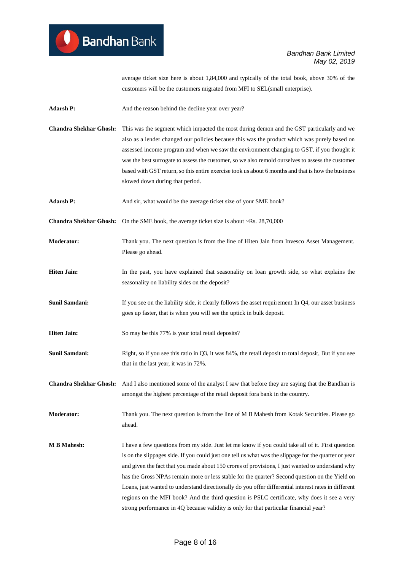average ticket size here is about 1,84,000 and typically of the total book, above 30% of the customers will be the customers migrated from MFI to SEL(small enterprise).

Adarsh P: And the reason behind the decline year over year?

- **Chandra Shekhar Ghosh:** This was the segment which impacted the most during demon and the GST particularly and we also as a lender changed our policies because this was the product which was purely based on assessed income program and when we saw the environment changing to GST, if you thought it was the best surrogate to assess the customer, so we also remold ourselves to assess the customer based with GST return, so this entire exercise took us about 6 months and that is how the business slowed down during that period.
- **Adarsh P:** And sir, what would be the average ticket size of your SME book?
- **Chandra Shekhar Ghosh:** On the SME book, the average ticket size is about ~Rs. 28,70,000
- **Moderator:** Thank you. The next question is from the line of Hiten Jain from Invesco Asset Management. Please go ahead.
- **Hiten Jain:** In the past, you have explained that seasonality on loan growth side, so what explains the seasonality on liability sides on the deposit?
- **Sunil Samdani:** If you see on the liability side, it clearly follows the asset requirement In Q4, our asset business goes up faster, that is when you will see the uptick in bulk deposit.
- **Hiten Jain:** So may be this 77% is your total retail deposits?
- **Sunil Samdani:** Right, so if you see this ratio in Q3, it was 84%, the retail deposit to total deposit, But if you see that in the last year, it was in 72%.
- **Chandra Shekhar Ghosh:** And I also mentioned some of the analyst I saw that before they are saying that the Bandhan is amongst the highest percentage of the retail deposit fora bank in the country.
- **Moderator:** Thank you. The next question is from the line of M B Mahesh from Kotak Securities. Please go ahead.
- **M B Mahesh:** I have a few questions from my side. Just let me know if you could take all of it. First question is on the slippages side. If you could just one tell us what was the slippage for the quarter or year and given the fact that you made about 150 crores of provisions, I just wanted to understand why has the Gross NPAs remain more or less stable for the quarter? Second question on the Yield on Loans, just wanted to understand directionally do you offer differential interest rates in different regions on the MFI book? And the third question is PSLC certificate, why does it see a very strong performance in 4Q because validity is only for that particular financial year?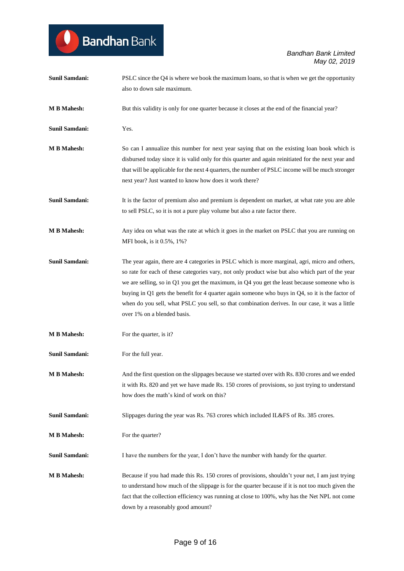| <b>Sunil Samdani:</b> | PSLC since the Q4 is where we book the maximum loans, so that is when we get the opportunity<br>also to down sale maximum.                                                                                                                                                                                                                                                                                                                                                                                                                      |
|-----------------------|-------------------------------------------------------------------------------------------------------------------------------------------------------------------------------------------------------------------------------------------------------------------------------------------------------------------------------------------------------------------------------------------------------------------------------------------------------------------------------------------------------------------------------------------------|
| <b>M B Mahesh:</b>    | But this validity is only for one quarter because it closes at the end of the financial year?                                                                                                                                                                                                                                                                                                                                                                                                                                                   |
| Sunil Samdani:        | Yes.                                                                                                                                                                                                                                                                                                                                                                                                                                                                                                                                            |
| <b>M B Mahesh:</b>    | So can I annualize this number for next year saying that on the existing loan book which is<br>disbursed today since it is valid only for this quarter and again reinitiated for the next year and<br>that will be applicable for the next 4 quarters, the number of PSLC income will be much stronger<br>next year? Just wanted to know how does it work there?                                                                                                                                                                                |
| <b>Sunil Samdani:</b> | It is the factor of premium also and premium is dependent on market, at what rate you are able<br>to sell PSLC, so it is not a pure play volume but also a rate factor there.                                                                                                                                                                                                                                                                                                                                                                   |
| <b>M B Mahesh:</b>    | Any idea on what was the rate at which it goes in the market on PSLC that you are running on<br>MFI book, is it 0.5%, 1%?                                                                                                                                                                                                                                                                                                                                                                                                                       |
| <b>Sunil Samdani:</b> | The year again, there are 4 categories in PSLC which is more marginal, agri, micro and others,<br>so rate for each of these categories vary, not only product wise but also which part of the year<br>we are selling, so in $Q1$ you get the maximum, in $Q4$ you get the least because someone who is<br>buying in Q1 gets the benefit for 4 quarter again someone who buys in $Q4$ , so it is the factor of<br>when do you sell, what PSLC you sell, so that combination derives. In our case, it was a little<br>over 1% on a blended basis. |
| <b>M B Mahesh:</b>    | For the quarter, is it?                                                                                                                                                                                                                                                                                                                                                                                                                                                                                                                         |
| <b>Sunil Samdani:</b> | For the full year.                                                                                                                                                                                                                                                                                                                                                                                                                                                                                                                              |
| <b>M B Mahesh:</b>    | And the first question on the slippages because we started over with Rs. 830 crores and we ended<br>it with Rs. 820 and yet we have made Rs. 150 crores of provisions, so just trying to understand<br>how does the math's kind of work on this?                                                                                                                                                                                                                                                                                                |
| <b>Sunil Samdani:</b> | Slippages during the year was Rs. 763 crores which included IL&FS of Rs. 385 crores.                                                                                                                                                                                                                                                                                                                                                                                                                                                            |
| <b>M B Mahesh:</b>    | For the quarter?                                                                                                                                                                                                                                                                                                                                                                                                                                                                                                                                |
| Sunil Samdani:        | I have the numbers for the year, I don't have the number with handy for the quarter.                                                                                                                                                                                                                                                                                                                                                                                                                                                            |
| <b>M B Mahesh:</b>    | Because if you had made this Rs. 150 crores of provisions, shouldn't your net, I am just trying<br>to understand how much of the slippage is for the quarter because if it is not too much given the<br>fact that the collection efficiency was running at close to 100%, why has the Net NPL not come<br>down by a reasonably good amount?                                                                                                                                                                                                     |

Bandhan Bank

 $\bullet$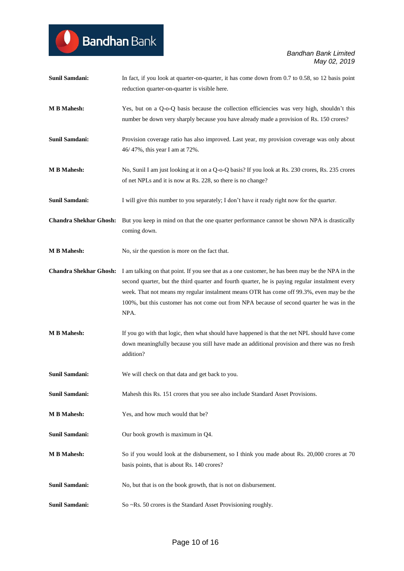| <b>Sunil Samdani:</b> | In fact, if you look at quarter-on-quarter, it has come down from 0.7 to 0.58, so 12 basis point<br>reduction quarter-on-quarter is visible here.                                                                                                                                                                                                                                                                                  |
|-----------------------|------------------------------------------------------------------------------------------------------------------------------------------------------------------------------------------------------------------------------------------------------------------------------------------------------------------------------------------------------------------------------------------------------------------------------------|
| <b>M B Mahesh:</b>    | Yes, but on a Q-o-Q basis because the collection efficiencies was very high, shouldn't this<br>number be down very sharply because you have already made a provision of Rs. 150 crores?                                                                                                                                                                                                                                            |
| <b>Sunil Samdani:</b> | Provision coverage ratio has also improved. Last year, my provision coverage was only about<br>46/47%, this year I am at 72%.                                                                                                                                                                                                                                                                                                      |
| <b>M B Mahesh:</b>    | No, Sunil I am just looking at it on a Q-o-Q basis? If you look at Rs. 230 crores, Rs. 235 crores<br>of net NPLs and it is now at Rs. 228, so there is no change?                                                                                                                                                                                                                                                                  |
| <b>Sunil Samdani:</b> | I will give this number to you separately; I don't have it ready right now for the quarter.                                                                                                                                                                                                                                                                                                                                        |
|                       | Chandra Shekhar Ghosh: But you keep in mind on that the one quarter performance cannot be shown NPA is drastically<br>coming down.                                                                                                                                                                                                                                                                                                 |
| <b>M B Mahesh:</b>    | No, sir the question is more on the fact that.                                                                                                                                                                                                                                                                                                                                                                                     |
|                       | <b>Chandra Shekhar Ghosh:</b> I am talking on that point. If you see that as a one customer, he has been may be the NPA in the<br>second quarter, but the third quarter and fourth quarter, he is paying regular instalment every<br>week. That not means my regular instalment means OTR has come off 99.3%, even may be the<br>100%, but this customer has not come out from NPA because of second quarter he was in the<br>NPA. |
| <b>M B Mahesh:</b>    | If you go with that logic, then what should have happened is that the net NPL should have come<br>down meaningfully because you still have made an additional provision and there was no fresh<br>addition?                                                                                                                                                                                                                        |
| <b>Sunil Samdani:</b> | We will check on that data and get back to you.                                                                                                                                                                                                                                                                                                                                                                                    |
| <b>Sunil Samdani:</b> | Mahesh this Rs. 151 crores that you see also include Standard Asset Provisions.                                                                                                                                                                                                                                                                                                                                                    |
| <b>M B Mahesh:</b>    | Yes, and how much would that be?                                                                                                                                                                                                                                                                                                                                                                                                   |
| <b>Sunil Samdani:</b> | Our book growth is maximum in Q4.                                                                                                                                                                                                                                                                                                                                                                                                  |
| <b>M B Mahesh:</b>    | So if you would look at the disbursement, so I think you made about Rs. 20,000 crores at 70<br>basis points, that is about Rs. 140 crores?                                                                                                                                                                                                                                                                                         |
| <b>Sunil Samdani:</b> | No, but that is on the book growth, that is not on disbursement.                                                                                                                                                                                                                                                                                                                                                                   |
| <b>Sunil Samdani:</b> | So ~Rs. 50 crores is the Standard Asset Provisioning roughly.                                                                                                                                                                                                                                                                                                                                                                      |

Bandhan Bank

 $\bullet$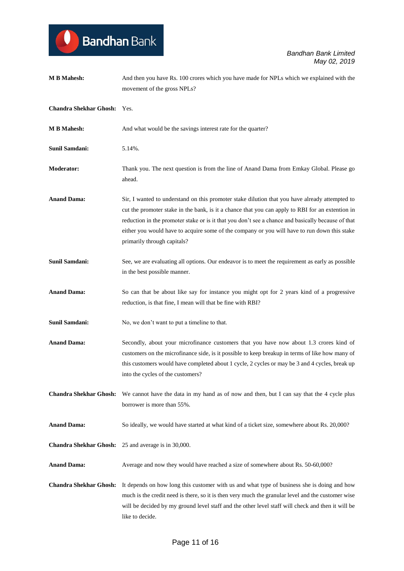| <b>M B Mahesh:</b>            | And then you have Rs. 100 crores which you have made for NPLs which we explained with the<br>movement of the gross NPLs?                                                                                                                                                                                                                                                                                                                |
|-------------------------------|-----------------------------------------------------------------------------------------------------------------------------------------------------------------------------------------------------------------------------------------------------------------------------------------------------------------------------------------------------------------------------------------------------------------------------------------|
| Chandra Shekhar Ghosh: Yes.   |                                                                                                                                                                                                                                                                                                                                                                                                                                         |
| <b>M B Mahesh:</b>            | And what would be the savings interest rate for the quarter?                                                                                                                                                                                                                                                                                                                                                                            |
| <b>Sunil Samdani:</b>         | 5.14%.                                                                                                                                                                                                                                                                                                                                                                                                                                  |
| <b>Moderator:</b>             | Thank you. The next question is from the line of Anand Dama from Emkay Global. Please go<br>ahead.                                                                                                                                                                                                                                                                                                                                      |
| <b>Anand Dama:</b>            | Sir, I wanted to understand on this promoter stake dilution that you have already attempted to<br>cut the promoter stake in the bank, is it a chance that you can apply to RBI for an extention in<br>reduction in the promoter stake or is it that you don't see a chance and basically because of that<br>either you would have to acquire some of the company or you will have to run down this stake<br>primarily through capitals? |
| Sunil Samdani:                | See, we are evaluating all options. Our endeavor is to meet the requirement as early as possible<br>in the best possible manner.                                                                                                                                                                                                                                                                                                        |
| <b>Anand Dama:</b>            | So can that be about like say for instance you might opt for 2 years kind of a progressive<br>reduction, is that fine, I mean will that be fine with RBI?                                                                                                                                                                                                                                                                               |
| <b>Sunil Samdani:</b>         | No, we don't want to put a timeline to that.                                                                                                                                                                                                                                                                                                                                                                                            |
| <b>Anand Dama:</b>            | Secondly, about your microfinance customers that you have now about 1.3 crores kind of<br>customers on the microfinance side, is it possible to keep breakup in terms of like how many of<br>this customers would have completed about 1 cycle, 2 cycles or may be 3 and 4 cycles, break up<br>into the cycles of the customers?                                                                                                        |
| <b>Chandra Shekhar Ghosh:</b> | We cannot have the data in my hand as of now and then, but I can say that the 4 cycle plus<br>borrower is more than 55%.                                                                                                                                                                                                                                                                                                                |
| <b>Anand Dama:</b>            | So ideally, we would have started at what kind of a ticket size, somewhere about Rs. 20,000?                                                                                                                                                                                                                                                                                                                                            |
|                               | <b>Chandra Shekhar Ghosh:</b> 25 and average is in 30,000.                                                                                                                                                                                                                                                                                                                                                                              |
| <b>Anand Dama:</b>            | Average and now they would have reached a size of somewhere about Rs. 50-60,000?                                                                                                                                                                                                                                                                                                                                                        |
| <b>Chandra Shekhar Ghosh:</b> | It depends on how long this customer with us and what type of business she is doing and how<br>much is the credit need is there, so it is then very much the granular level and the customer wise<br>will be decided by my ground level staff and the other level staff will check and then it will be<br>like to decide.                                                                                                               |

Bandhan Bank

 $\bullet$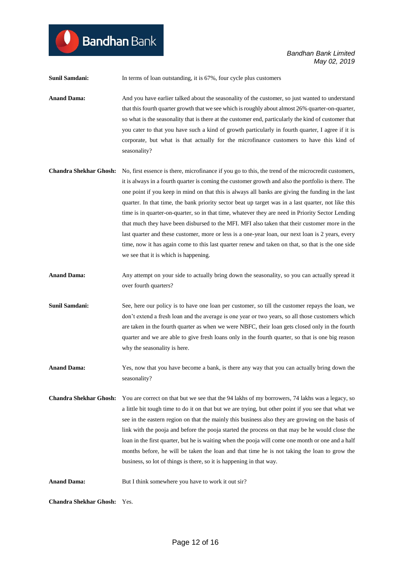**Bandhan** Bank

**Sunil Samdani:** In terms of loan outstanding, it is 67%, four cycle plus customers

**Anand Dama:** And you have earlier talked about the seasonality of the customer, so just wanted to understand that this fourth quarter growth that we see which is roughly about almost 26% quarter-on-quarter, so what is the seasonality that is there at the customer end, particularly the kind of customer that you cater to that you have such a kind of growth particularly in fourth quarter, I agree if it is corporate, but what is that actually for the microfinance customers to have this kind of seasonality?

- **Chandra Shekhar Ghosh:** No, first essence is there, microfinance if you go to this, the trend of the microcredit customers, it is always in a fourth quarter is coming the customer growth and also the portfolio is there. The one point if you keep in mind on that this is always all banks are giving the funding in the last quarter. In that time, the bank priority sector beat up target was in a last quarter, not like this time is in quarter-on-quarter, so in that time, whatever they are need in Priority Sector Lending that much they have been disbursed to the MFI. MFI also taken that their customer more in the last quarter and these customer, more or less is a one-year loan, our next loan is 2 years, every time, now it has again come to this last quarter renew and taken on that, so that is the one side we see that it is which is happening.
- **Anand Dama:** Any attempt on your side to actually bring down the seasonality, so you can actually spread it over fourth quarters?
- **Sunil Samdani:** See, here our policy is to have one loan per customer, so till the customer repays the loan, we don't extend a fresh loan and the average is one year or two years, so all those customers which are taken in the fourth quarter as when we were NBFC, their loan gets closed only in the fourth quarter and we are able to give fresh loans only in the fourth quarter, so that is one big reason why the seasonality is here.
- **Anand Dama:** Yes, now that you have become a bank, is there any way that you can actually bring down the seasonality?
- **Chandra Shekhar Ghosh:** You are correct on that but we see that the 94 lakhs of my borrowers, 74 lakhs was a legacy, so a little bit tough time to do it on that but we are trying, but other point if you see that what we see in the eastern region on that the mainly this business also they are growing on the basis of link with the pooja and before the pooja started the process on that may be he would close the loan in the first quarter, but he is waiting when the pooja will come one month or one and a half months before, he will be taken the loan and that time he is not taking the loan to grow the business, so lot of things is there, so it is happening in that way.
- **Anand Dama:** But I think somewhere you have to work it out sir?

**Chandra Shekhar Ghosh:** Yes.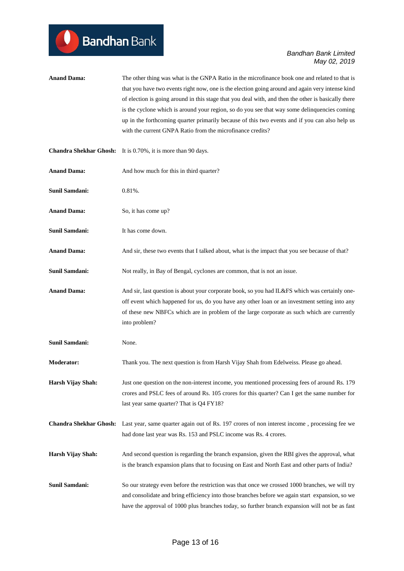**Anand Dama:** The other thing was what is the GNPA Ratio in the microfinance book one and related to that is that you have two events right now, one is the election going around and again very intense kind of election is going around in this stage that you deal with, and then the other is basically there is the cyclone which is around your region, so do you see that way some delinquencies coming up in the forthcoming quarter primarily because of this two events and if you can also help us with the current GNPA Ratio from the microfinance credits?

|                       | <b>Chandra Shekhar Ghosh:</b> It is 0.70%, it is more than 90 days.                                                                                                                                                                                                                                            |
|-----------------------|----------------------------------------------------------------------------------------------------------------------------------------------------------------------------------------------------------------------------------------------------------------------------------------------------------------|
| <b>Anand Dama:</b>    | And how much for this in third quarter?                                                                                                                                                                                                                                                                        |
| <b>Sunil Samdani:</b> | $0.81%$ .                                                                                                                                                                                                                                                                                                      |
| <b>Anand Dama:</b>    | So, it has come up?                                                                                                                                                                                                                                                                                            |
| <b>Sunil Samdani:</b> | It has come down.                                                                                                                                                                                                                                                                                              |
| <b>Anand Dama:</b>    | And sir, these two events that I talked about, what is the impact that you see because of that?                                                                                                                                                                                                                |
| <b>Sunil Samdani:</b> | Not really, in Bay of Bengal, cyclones are common, that is not an issue.                                                                                                                                                                                                                                       |
| <b>Anand Dama:</b>    | And sir, last question is about your corporate book, so you had IL&FS which was certainly one-<br>off event which happened for us, do you have any other loan or an investment setting into any<br>of these new NBFCs which are in problem of the large corporate as such which are currently<br>into problem? |
| Sunil Samdani:        | None.                                                                                                                                                                                                                                                                                                          |
| <b>Moderator:</b>     | Thank you. The next question is from Harsh Vijay Shah from Edelweiss. Please go ahead.                                                                                                                                                                                                                         |
| Harsh Vijay Shah:     | Just one question on the non-interest income, you mentioned processing fees of around Rs. 179<br>crores and PSLC fees of around Rs. 105 crores for this quarter? Can I get the same number for<br>last year same quarter? That is Q4 FY18?                                                                     |
|                       | Chandra Shekhar Ghosh: Last year, same quarter again out of Rs. 197 crores of non interest income, processing fee we<br>had done last year was Rs. 153 and PSLC income was Rs. 4 crores.                                                                                                                       |
| Harsh Vijay Shah:     | And second question is regarding the branch expansion, given the RBI gives the approval, what<br>is the branch expansion plans that to focusing on East and North East and other parts of India?                                                                                                               |
| <b>Sunil Samdani:</b> | So our strategy even before the restriction was that once we crossed 1000 branches, we will try<br>and consolidate and bring efficiency into those branches before we again start expansion, so we<br>have the approval of 1000 plus branches today, so further branch expansion will not be as fast           |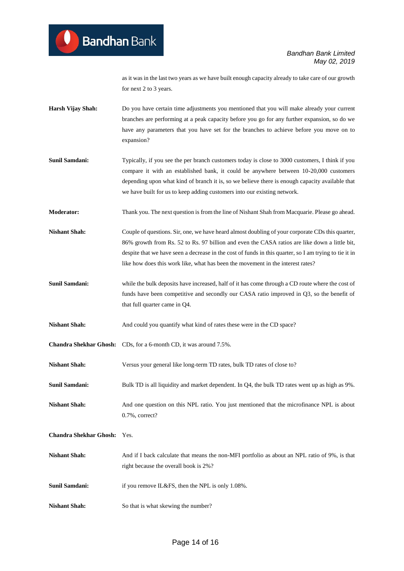as it was in the last two years as we have built enough capacity already to take care of our growth for next 2 to 3 years.

- **Harsh Vijay Shah:** Do you have certain time adjustments you mentioned that you will make already your current branches are performing at a peak capacity before you go for any further expansion, so do we have any parameters that you have set for the branches to achieve before you move on to expansion?
- **Sunil Samdani:** Typically, if you see the per branch customers today is close to 3000 customers, I think if you compare it with an established bank, it could be anywhere between 10-20,000 customers depending upon what kind of branch it is, so we believe there is enough capacity available that we have built for us to keep adding customers into our existing network.
- **Moderator:** Thank you. The next question is from the line of Nishant Shah from Macquarie. Please go ahead.

**Nishant Shah:** Couple of questions. Sir, one, we have heard almost doubling of your corporate CDs this quarter, 86% growth from Rs. 52 to Rs. 97 billion and even the CASA ratios are like down a little bit, despite that we have seen a decrease in the cost of funds in this quarter, so I am trying to tie it in like how does this work like, what has been the movement in the interest rates?

- **Sunil Samdani:** while the bulk deposits have increased, half of it has come through a CD route where the cost of funds have been competitive and secondly our CASA ratio improved in Q3, so the benefit of that full quarter came in Q4.
- **Nishant Shah:** And could you quantify what kind of rates these were in the CD space?
- **Chandra Shekhar Ghosh:** CDs, for a 6-month CD, it was around 7.5%.
- **Nishant Shah:** Versus your general like long-term TD rates, bulk TD rates of close to?
- **Sunil Samdani:** Bulk TD is all liquidity and market dependent. In Q4, the bulk TD rates went up as high as 9%.
- **Nishant Shah:** And one question on this NPL ratio. You just mentioned that the microfinance NPL is about 0.7%, correct?

**Chandra Shekhar Ghosh:** Yes.

- **Nishant Shah:** And if I back calculate that means the non-MFI portfolio as about an NPL ratio of 9%, is that right because the overall book is 2%?
- **Sunil Samdani:** if you remove IL&FS, then the NPL is only 1.08%.
- **Nishant Shah:** So that is what skewing the number?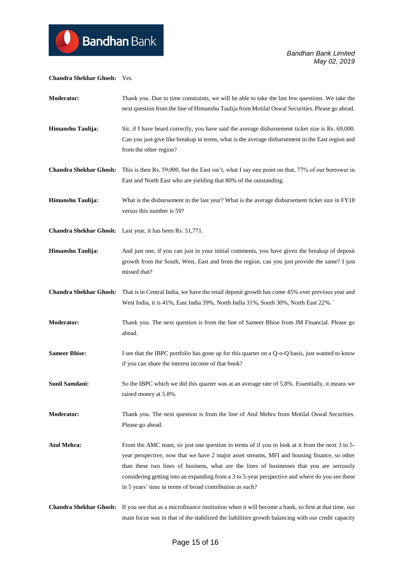#### **Chandra Shekhar Ghosh:** Yes.

| <b>Moderator:</b>             | Thank you. Due to time constraints, we will be able to take the last few questions. We take the<br>next question from the line of Himanshu Taulija from Motilal Oswal Securities. Please go ahead.                                                                                                                                                                                                                                                         |
|-------------------------------|------------------------------------------------------------------------------------------------------------------------------------------------------------------------------------------------------------------------------------------------------------------------------------------------------------------------------------------------------------------------------------------------------------------------------------------------------------|
| Himanshu Taulija:             | Sir, if I have heard correctly, you have said the average disbursement ticket size is Rs. 69,000.<br>Can you just give like breakup in terms, what is the average disbursement in the East region and<br>from the other region?                                                                                                                                                                                                                            |
| <b>Chandra Shekhar Ghosh:</b> | This is then Rs. 59,000, but the East isn't, what I say one point on that, 77% of our borrower in<br>East and North East who are yielding that 80% of the outstanding.                                                                                                                                                                                                                                                                                     |
| Himanshu Taulija:             | What is the disbursement in the last year? What is the average disbursement ticket size in FY18<br>versus this number is 59?                                                                                                                                                                                                                                                                                                                               |
|                               | <b>Chandra Shekhar Ghosh:</b> Last year, it has been Rs. 51,771.                                                                                                                                                                                                                                                                                                                                                                                           |
| Himanshu Taulija:             | And just one, if you can just in your initial comments, you have given the breakup of deposit<br>growth from the South, West, East and from the region, can you just provide the same? I just<br>missed that?                                                                                                                                                                                                                                              |
| <b>Chandra Shekhar Ghosh:</b> | That is in Central India, we have the retail deposit growth has come 45% over previous year and<br>West India, it is 41%, East India 39%, North India 31%, South 30%, North East 22%.                                                                                                                                                                                                                                                                      |
| <b>Moderator:</b>             | Thank you. The next question is from the line of Sameer Bhise from JM Financial. Please go<br>ahead.                                                                                                                                                                                                                                                                                                                                                       |
| <b>Sameer Bhise:</b>          | I see that the IBPC portfolio has gone up for this quarter on a Q-o-Q basis, just wanted to know<br>if you can share the interest income of that book?                                                                                                                                                                                                                                                                                                     |
| <b>Sunil Samdani:</b>         | So the IBPC which we did this quarter was at an average rate of 5.8%. Essentially, it means we<br>raised money at 5.8%.                                                                                                                                                                                                                                                                                                                                    |
| <b>Moderator:</b>             | Thank you. The next question is from the line of Atul Mehra from Motilal Oswal Securities.<br>Please go ahead.                                                                                                                                                                                                                                                                                                                                             |
| <b>Atul Mehra:</b>            | From the AMC team, sir just one question in terms of if you to look at it from the next 3 to 5-<br>year perspective, now that we have 2 major asset streams, MFI and housing finance, so other<br>than these two lines of business, what are the lines of businesses that you are seriously<br>considering getting into an expanding from a 3 to 5-year perspective and where do you see these<br>in 5 years' time in terms of broad contribution as such? |
| <b>Chandra Shekhar Ghosh:</b> | If you see that as a microfinance institution when it will become a bank, so first at that time, our<br>main focus was in that of the stabilized the liabilities growth balancing with our credit capacity                                                                                                                                                                                                                                                 |